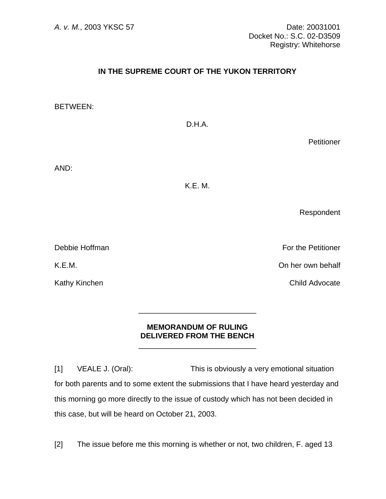## **IN THE SUPREME COURT OF THE YUKON TERRITORY**

BETWEEN:

D.H.A.

**Petitioner** 

AND:

K.E. M.

Respondent

**Debbie Hoffman** For the Petitioner

K.E.M. On her own behalf

Kathy Kinchen **Child Advocate** 

## **MEMORANDUM OF RULING DELIVERED FROM THE BENCH**

 $\frac{1}{\sqrt{2\pi}}$  ,  $\frac{1}{\sqrt{2\pi}}$  ,  $\frac{1}{\sqrt{2\pi}}$  ,  $\frac{1}{\sqrt{2\pi}}$  ,  $\frac{1}{\sqrt{2\pi}}$  ,  $\frac{1}{\sqrt{2\pi}}$  ,  $\frac{1}{\sqrt{2\pi}}$  ,  $\frac{1}{\sqrt{2\pi}}$  ,  $\frac{1}{\sqrt{2\pi}}$  ,  $\frac{1}{\sqrt{2\pi}}$  ,  $\frac{1}{\sqrt{2\pi}}$  ,  $\frac{1}{\sqrt{2\pi}}$  ,  $\frac{1}{\sqrt{2\pi}}$  ,

 $\frac{1}{\sqrt{2\pi}}$  ,  $\frac{1}{\sqrt{2\pi}}$  ,  $\frac{1}{\sqrt{2\pi}}$  ,  $\frac{1}{\sqrt{2\pi}}$  ,  $\frac{1}{\sqrt{2\pi}}$  ,  $\frac{1}{\sqrt{2\pi}}$  ,  $\frac{1}{\sqrt{2\pi}}$  ,  $\frac{1}{\sqrt{2\pi}}$  ,  $\frac{1}{\sqrt{2\pi}}$  ,  $\frac{1}{\sqrt{2\pi}}$  ,  $\frac{1}{\sqrt{2\pi}}$  ,  $\frac{1}{\sqrt{2\pi}}$  ,  $\frac{1}{\sqrt{2\pi}}$  ,

[1] VEALE J. (Oral): This is obviously a very emotional situation for both parents and to some extent the submissions that I have heard yesterday and this morning go more directly to the issue of custody which has not been decided in this case, but will be heard on October 21, 2003.

[2] The issue before me this morning is whether or not, two children, F. aged 13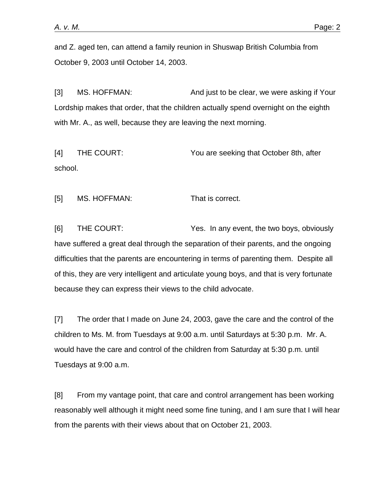and Z. aged ten, can attend a family reunion in Shuswap British Columbia from October 9, 2003 until October 14, 2003.

[3] MS. HOFFMAN: And just to be clear, we were asking if Your Lordship makes that order, that the children actually spend overnight on the eighth with Mr. A., as well, because they are leaving the next morning.

[4] THE COURT: You are seeking that October 8th, after school.

[5] MS. HOFFMAN: That is correct.

[6] THE COURT: Yes. In any event, the two boys, obviously have suffered a great deal through the separation of their parents, and the ongoing difficulties that the parents are encountering in terms of parenting them. Despite all of this, they are very intelligent and articulate young boys, and that is very fortunate because they can express their views to the child advocate.

[7] The order that I made on June 24, 2003, gave the care and the control of the children to Ms. M. from Tuesdays at 9:00 a.m. until Saturdays at 5:30 p.m. Mr. A. would have the care and control of the children from Saturday at 5:30 p.m. until Tuesdays at 9:00 a.m.

[8] From my vantage point, that care and control arrangement has been working reasonably well although it might need some fine tuning, and I am sure that I will hear from the parents with their views about that on October 21, 2003.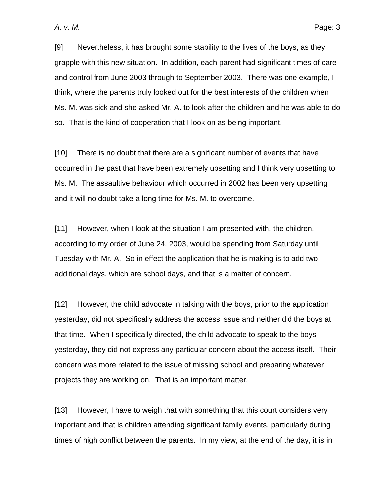[9] Nevertheless, it has brought some stability to the lives of the boys, as they grapple with this new situation. In addition, each parent had significant times of care and control from June 2003 through to September 2003. There was one example, I think, where the parents truly looked out for the best interests of the children when Ms. M. was sick and she asked Mr. A. to look after the children and he was able to do so. That is the kind of cooperation that I look on as being important.

[10] There is no doubt that there are a significant number of events that have occurred in the past that have been extremely upsetting and I think very upsetting to Ms. M. The assaultive behaviour which occurred in 2002 has been very upsetting and it will no doubt take a long time for Ms. M. to overcome.

[11] However, when I look at the situation I am presented with, the children, according to my order of June 24, 2003, would be spending from Saturday until Tuesday with Mr. A. So in effect the application that he is making is to add two additional days, which are school days, and that is a matter of concern.

[12] However, the child advocate in talking with the boys, prior to the application yesterday, did not specifically address the access issue and neither did the boys at that time. When I specifically directed, the child advocate to speak to the boys yesterday, they did not express any particular concern about the access itself. Their concern was more related to the issue of missing school and preparing whatever projects they are working on. That is an important matter.

[13] However, I have to weigh that with something that this court considers very important and that is children attending significant family events, particularly during times of high conflict between the parents. In my view, at the end of the day, it is in